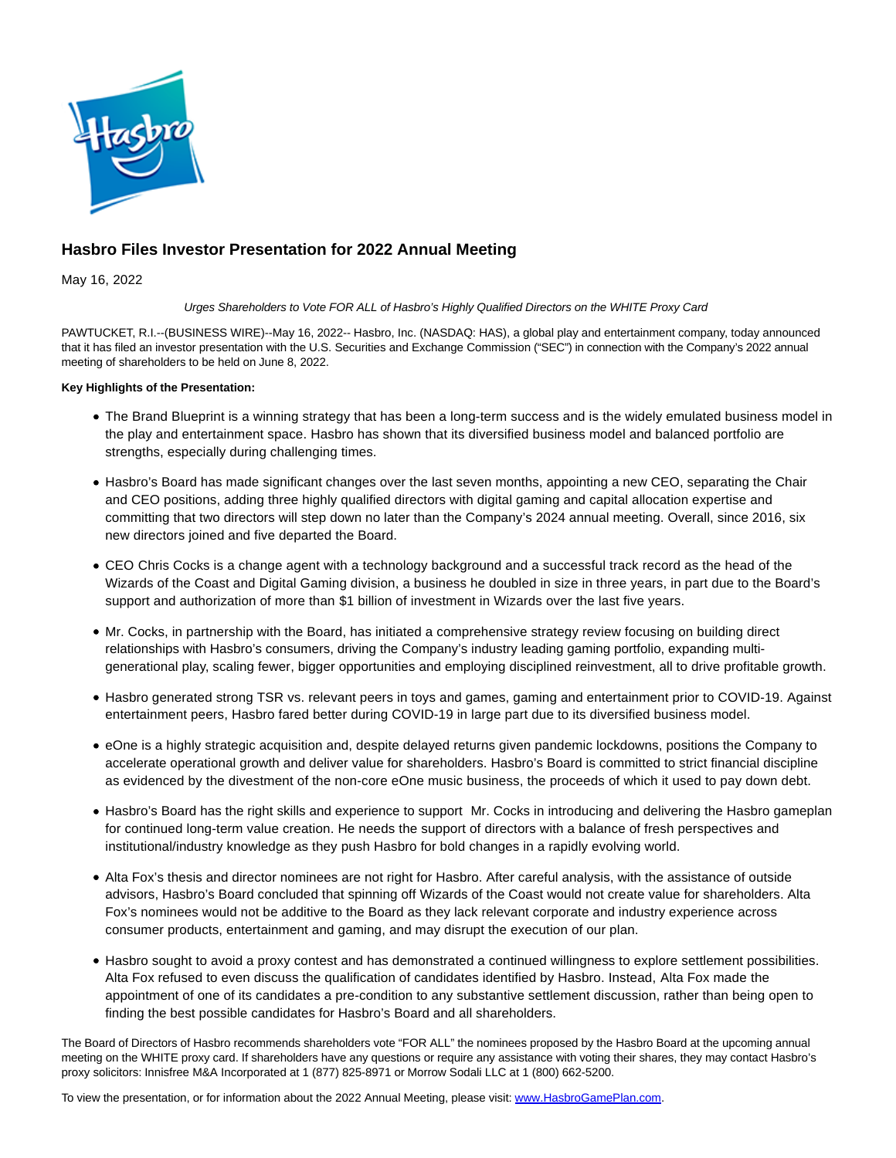

# **Hasbro Files Investor Presentation for 2022 Annual Meeting**

May 16, 2022

### Urges Shareholders to Vote FOR ALL of Hasbro's Highly Qualified Directors on the WHITE Proxy Card

PAWTUCKET, R.I.--(BUSINESS WIRE)--May 16, 2022-- Hasbro, Inc. (NASDAQ: HAS), a global play and entertainment company, today announced that it has filed an investor presentation with the U.S. Securities and Exchange Commission ("SEC") in connection with the Company's 2022 annual meeting of shareholders to be held on June 8, 2022.

## **Key Highlights of the Presentation:**

- The Brand Blueprint is a winning strategy that has been a long-term success and is the widely emulated business model in the play and entertainment space. Hasbro has shown that its diversified business model and balanced portfolio are strengths, especially during challenging times.
- Hasbro's Board has made significant changes over the last seven months, appointing a new CEO, separating the Chair and CEO positions, adding three highly qualified directors with digital gaming and capital allocation expertise and committing that two directors will step down no later than the Company's 2024 annual meeting. Overall, since 2016, six new directors joined and five departed the Board.
- CEO Chris Cocks is a change agent with a technology background and a successful track record as the head of the Wizards of the Coast and Digital Gaming division, a business he doubled in size in three years, in part due to the Board's support and authorization of more than \$1 billion of investment in Wizards over the last five years.
- Mr. Cocks, in partnership with the Board, has initiated a comprehensive strategy review focusing on building direct relationships with Hasbro's consumers, driving the Company's industry leading gaming portfolio, expanding multigenerational play, scaling fewer, bigger opportunities and employing disciplined reinvestment, all to drive profitable growth.
- Hasbro generated strong TSR vs. relevant peers in toys and games, gaming and entertainment prior to COVID-19. Against entertainment peers, Hasbro fared better during COVID-19 in large part due to its diversified business model.
- eOne is a highly strategic acquisition and, despite delayed returns given pandemic lockdowns, positions the Company to accelerate operational growth and deliver value for shareholders. Hasbro's Board is committed to strict financial discipline as evidenced by the divestment of the non-core eOne music business, the proceeds of which it used to pay down debt.
- Hasbro's Board has the right skills and experience to support Mr. Cocks in introducing and delivering the Hasbro gameplan for continued long-term value creation. He needs the support of directors with a balance of fresh perspectives and institutional/industry knowledge as they push Hasbro for bold changes in a rapidly evolving world.
- Alta Fox's thesis and director nominees are not right for Hasbro. After careful analysis, with the assistance of outside advisors, Hasbro's Board concluded that spinning off Wizards of the Coast would not create value for shareholders. Alta Fox's nominees would not be additive to the Board as they lack relevant corporate and industry experience across consumer products, entertainment and gaming, and may disrupt the execution of our plan.
- Hasbro sought to avoid a proxy contest and has demonstrated a continued willingness to explore settlement possibilities. Alta Fox refused to even discuss the qualification of candidates identified by Hasbro. Instead, Alta Fox made the appointment of one of its candidates a pre-condition to any substantive settlement discussion, rather than being open to finding the best possible candidates for Hasbro's Board and all shareholders.

The Board of Directors of Hasbro recommends shareholders vote "FOR ALL" the nominees proposed by the Hasbro Board at the upcoming annual meeting on the WHITE proxy card. If shareholders have any questions or require any assistance with voting their shares, they may contact Hasbro's proxy solicitors: Innisfree M&A Incorporated at 1 (877) 825-8971 or Morrow Sodali LLC at 1 (800) 662-5200.

To view the presentation, or for information about the 2022 Annual Meeting, please visit[: www.HasbroGamePlan.com.](https://cts.businesswire.com/ct/CT?id=smartlink&url=http%3A%2F%2Fwww.HasbroGamePlan.com&esheet=52721435&newsitemid=20220516006019&lan=en-US&anchor=www.HasbroGamePlan.com&index=1&md5=479894aa80e7e2832e65883d7ea2684d)